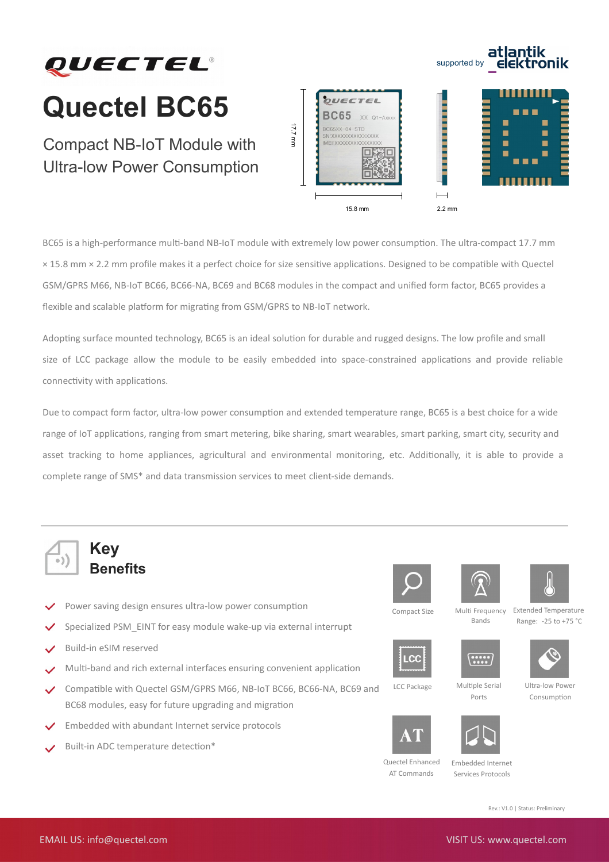

## **Quectel BC65**

Compact NB-IoT Module with Ultra-low Power Consumption



supported by

atlantik<br>elektronik

BC65 is a high-performance multi-band NB-IoT module with extremely low power consumption. The ultra-compact 17.7 mm × 15.8 mm × 2.2 mm profle makes it a perfect choice for size sensitve applicatons. Designed to be compatble with Quectel GSM/GPRS M66, NB-IoT BC66, BC66-NA, BC69 and BC68 modules in the compact and unifed form factor, BC65 provides a flexible and scalable platform for migrating from GSM/GPRS to NB-IoT network.

Adopting surface mounted technology, BC65 is an ideal solution for durable and rugged designs. The low profile and small size of LCC package allow the module to be easily embedded into space-constrained applications and provide reliable connectivity with applications.

Due to compact form factor, ultra-low power consumption and extended temperature range, BC65 is a best choice for a wide range of IoT applicatons, ranging from smart metering, bike sharing, smart wearables, smart parking, smart city, security and asset tracking to home appliances, agricultural and environmental monitoring, etc. Additionally, it is able to provide a complete range of SMS\* and data transmission services to meet client-side demands.



## **Key Benefits**

- Power saving design ensures ultra-low power consumption
- Specialized PSM\_EINT for easy module wake-up via external interrupt
- Build-in eSIM reserved
- Mult-band and rich external interfaces ensuring convenient applicaton
- Compatble with Quectel GSM/GPRS M66, NB-IoT BC66, BC66-NA, BC69 and BC68 modules, easy for future upgrading and migration
- Embedded with abundant Internet service protocols
- Built-in ADC temperature detection\*







LCC

Compact Size Multi Frequency Bands Extended Temperature Range: -25 to +75 °C











LCC Package Multiple Serial

Ports Ultra-low Power Consumption





Quectel Enhanced AT Commands

Embedded Internet Services Protocols

Rev.: V1.0 | Status: Preliminary

EMAIL US: info@quectel.com VISIT US: www.quectel.com